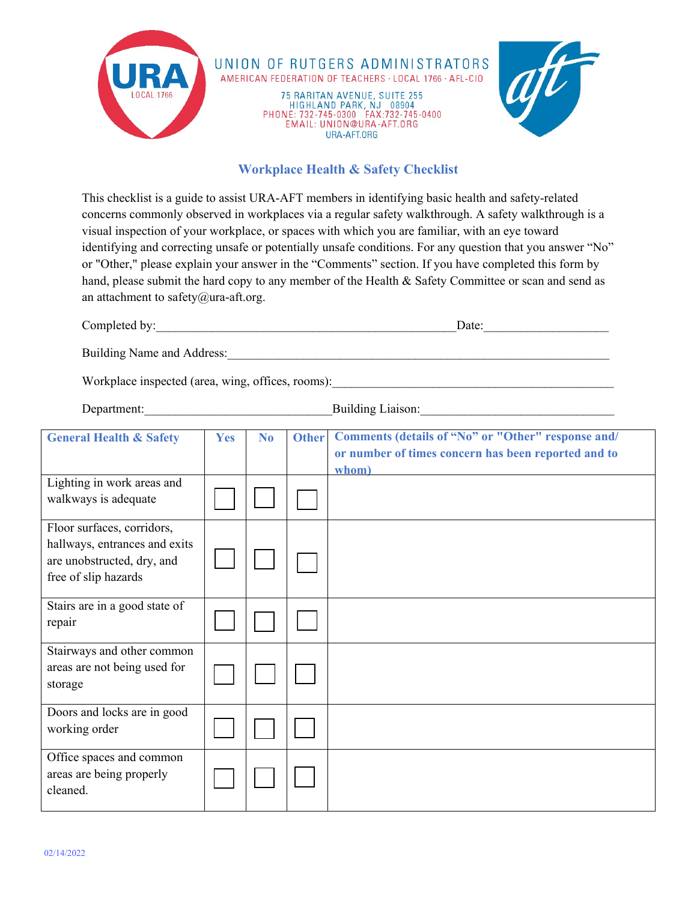

## **Workplace Health & Safety Checklist**

This checklist is a guide to assist URA-AFT members in identifying basic health and safety-related concerns commonly observed in workplaces via a regular safety walkthrough. A safety walkthrough is a visual inspection of your workplace, or spaces with which you are familiar, with an eye toward identifying and correcting unsafe or potentially unsafe conditions. For any question that you answer "No" or "Other," please explain your answer in the "Comments" section. If you have completed this form by hand, please submit the hard copy to any member of the Health & Safety Committee or scan and send as an attachment to safety@ura-aft.org.

| Completed by:                                     | Date: |
|---------------------------------------------------|-------|
| Building Name and Address:                        |       |
| Workplace inspected (area, wing, offices, rooms): |       |

Department: Building Liaison:

| <b>General Health &amp; Safety</b>                                                                                | Yes | N <sub>0</sub> | <b>Other</b> | Comments (details of "No" or "Other" response and/  |
|-------------------------------------------------------------------------------------------------------------------|-----|----------------|--------------|-----------------------------------------------------|
|                                                                                                                   |     |                |              | or number of times concern has been reported and to |
| Lighting in work areas and<br>walkways is adequate                                                                |     |                |              | whom)                                               |
| Floor surfaces, corridors,<br>hallways, entrances and exits<br>are unobstructed, dry, and<br>free of slip hazards |     |                |              |                                                     |
| Stairs are in a good state of<br>repair                                                                           |     |                |              |                                                     |
| Stairways and other common<br>areas are not being used for<br>storage                                             |     |                |              |                                                     |
| Doors and locks are in good<br>working order                                                                      |     |                |              |                                                     |
| Office spaces and common<br>areas are being properly<br>cleaned.                                                  |     |                |              |                                                     |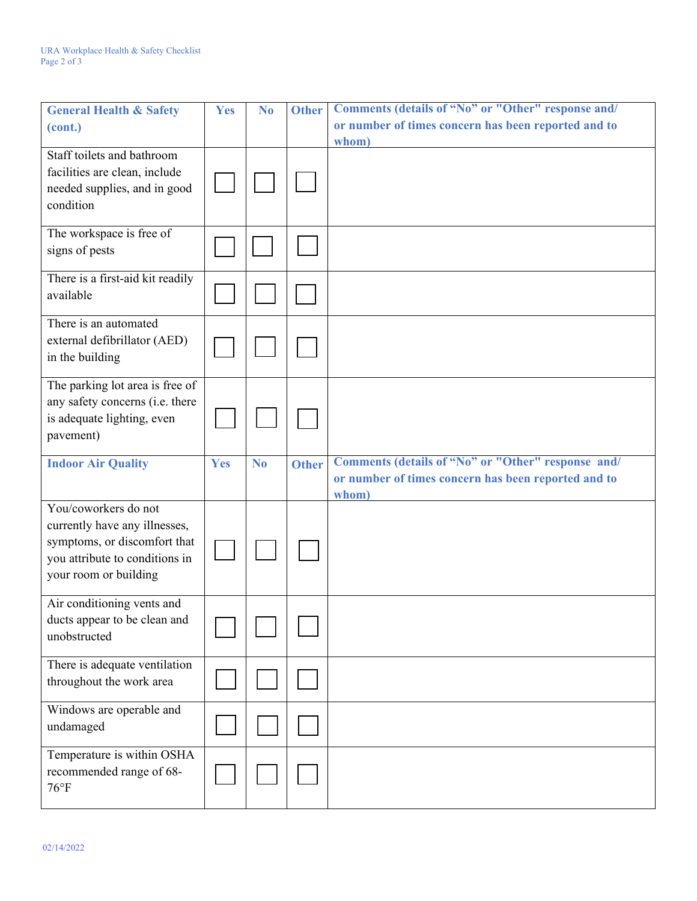| <b>General Health &amp; Safety</b>                                                                                                               | <b>Yes</b> | N <sub>0</sub> | <b>Other</b> | Comments (details of "No" or "Other" response and/                                                                 |
|--------------------------------------------------------------------------------------------------------------------------------------------------|------------|----------------|--------------|--------------------------------------------------------------------------------------------------------------------|
| (cont.)                                                                                                                                          |            |                |              | or number of times concern has been reported and to<br>whom)                                                       |
| Staff toilets and bathroom<br>facilities are clean, include<br>needed supplies, and in good<br>condition                                         |            |                |              |                                                                                                                    |
| The workspace is free of<br>signs of pests                                                                                                       |            |                |              |                                                                                                                    |
| There is a first-aid kit readily<br>available                                                                                                    |            |                |              |                                                                                                                    |
| There is an automated<br>external defibrillator (AED)<br>in the building                                                                         |            |                |              |                                                                                                                    |
| The parking lot area is free of<br>any safety concerns (i.e. there<br>is adequate lighting, even<br>pavement)                                    |            |                |              |                                                                                                                    |
|                                                                                                                                                  |            |                |              |                                                                                                                    |
| <b>Indoor Air Quality</b>                                                                                                                        | Yes        | N <sub>o</sub> | <b>Other</b> | Comments (details of "No" or "Other" response and/<br>or number of times concern has been reported and to<br>whom) |
| You/coworkers do not<br>currently have any illnesses,<br>symptoms, or discomfort that<br>you attribute to conditions in<br>your room or building |            |                |              |                                                                                                                    |
| Air conditioning vents and<br>ducts appear to be clean and<br>unobstructed                                                                       |            |                |              |                                                                                                                    |
| There is adequate ventilation<br>throughout the work area                                                                                        |            |                |              |                                                                                                                    |
| Windows are operable and<br>undamaged                                                                                                            |            |                |              |                                                                                                                    |